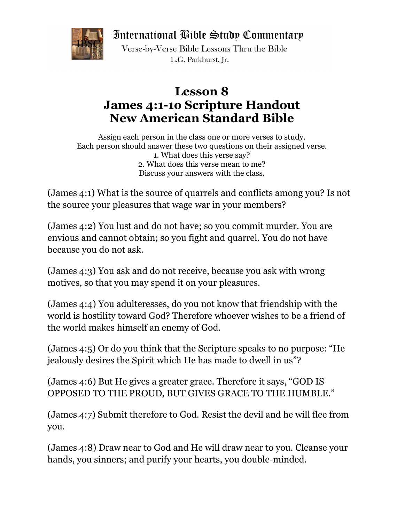International Bible Study Commentary



Verse-by-Verse Bible Lessons Thru the Bible L.G. Parkhurst. Ir.

## **Lesson 8 James 4:1-1o Scripture Handout New American Standard Bible**

Assign each person in the class one or more verses to study. Each person should answer these two questions on their assigned verse. 1. What does this verse say? 2. What does this verse mean to me? Discuss your answers with the class.

(James 4:1) What is the source of quarrels and conflicts among you? Is not the source your pleasures that wage war in your members?

(James 4:2) You lust and do not have; so you commit murder. You are envious and cannot obtain; so you fight and quarrel. You do not have because you do not ask.

(James 4:3) You ask and do not receive, because you ask with wrong motives, so that you may spend it on your pleasures.

(James 4:4) You adulteresses, do you not know that friendship with the world is hostility toward God? Therefore whoever wishes to be a friend of the world makes himself an enemy of God.

(James 4:5) Or do you think that the Scripture speaks to no purpose: "He jealously desires the Spirit which He has made to dwell in us"?

(James 4:6) But He gives a greater grace. Therefore it says, "GOD IS OPPOSED TO THE PROUD, BUT GIVES GRACE TO THE HUMBLE."

(James 4:7) Submit therefore to God. Resist the devil and he will flee from you.

(James 4:8) Draw near to God and He will draw near to you. Cleanse your hands, you sinners; and purify your hearts, you double-minded.